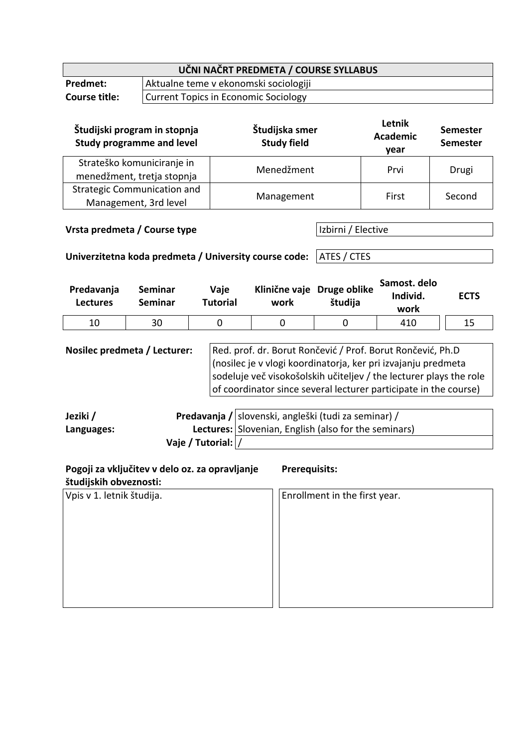| UČNI NAČRT PREDMETA / COURSE SYLLABUS                                                                                                                                                                                                                                                                                                                                     |                                  |                                             |                                      |                                                      |                               |  |                                   |       |                                    |  |
|---------------------------------------------------------------------------------------------------------------------------------------------------------------------------------------------------------------------------------------------------------------------------------------------------------------------------------------------------------------------------|----------------------------------|---------------------------------------------|--------------------------------------|------------------------------------------------------|-------------------------------|--|-----------------------------------|-------|------------------------------------|--|
| Predmet:                                                                                                                                                                                                                                                                                                                                                                  |                                  | Aktualne teme v ekonomski sociologiji       |                                      |                                                      |                               |  |                                   |       |                                    |  |
| <b>Course title:</b>                                                                                                                                                                                                                                                                                                                                                      |                                  | <b>Current Topics in Economic Sociology</b> |                                      |                                                      |                               |  |                                   |       |                                    |  |
| Študijski program in stopnja<br><b>Study programme and level</b>                                                                                                                                                                                                                                                                                                          |                                  |                                             | Študijska smer<br><b>Study field</b> |                                                      |                               |  | Letnik<br><b>Academic</b><br>year |       | <b>Semester</b><br><b>Semester</b> |  |
| Strateško komuniciranje in<br>menedžment, tretja stopnja                                                                                                                                                                                                                                                                                                                  |                                  |                                             | Menedžment                           |                                                      |                               |  | Prvi                              | Drugi |                                    |  |
| <b>Strategic Communication and</b><br>Management, 3rd level                                                                                                                                                                                                                                                                                                               |                                  |                                             | Management                           |                                                      |                               |  | First                             |       | Second                             |  |
| Vrsta predmeta / Course type<br>Izbirni / Elective<br>ATES / CTES<br>Univerzitetna koda predmeta / University course code:                                                                                                                                                                                                                                                |                                  |                                             |                                      |                                                      |                               |  |                                   |       |                                    |  |
| Predavanja<br><b>Lectures</b>                                                                                                                                                                                                                                                                                                                                             | <b>Seminar</b><br><b>Seminar</b> |                                             | Vaje<br><b>Tutorial</b>              | Klinične vaje Druge oblike<br>work                   | študija                       |  | Samost. delo<br>Individ.<br>work  |       | <b>ECTS</b>                        |  |
| 10                                                                                                                                                                                                                                                                                                                                                                        | 30                               |                                             | $\mathbf 0$                          | 0                                                    | 0                             |  | 410                               |       | 15                                 |  |
| Nosilec predmeta / Lecturer:<br>Red. prof. dr. Borut Rončević / Prof. Borut Rončević, Ph.D<br>(nosilec je v vlogi koordinatorja, ker pri izvajanju predmeta<br>sodeluje več visokošolskih učiteljev / the lecturer plays the role<br>of coordinator since several lecturer participate in the course)<br>Predavanja / slovenski, angleški (tudi za seminar) /<br>Jeziki / |                                  |                                             |                                      |                                                      |                               |  |                                   |       |                                    |  |
| Languages:                                                                                                                                                                                                                                                                                                                                                                |                                  |                                             |                                      | Lectures: Slovenian, English (also for the seminars) |                               |  |                                   |       |                                    |  |
|                                                                                                                                                                                                                                                                                                                                                                           |                                  |                                             | Vaje / Tutorial:                     |                                                      |                               |  |                                   |       |                                    |  |
| Pogoji za vključitev v delo oz. za opravljanje<br><b>Prerequisits:</b><br>študijskih obveznosti:                                                                                                                                                                                                                                                                          |                                  |                                             |                                      |                                                      |                               |  |                                   |       |                                    |  |
| Vpis v 1. letnik študija.                                                                                                                                                                                                                                                                                                                                                 |                                  |                                             |                                      |                                                      | Enrollment in the first year. |  |                                   |       |                                    |  |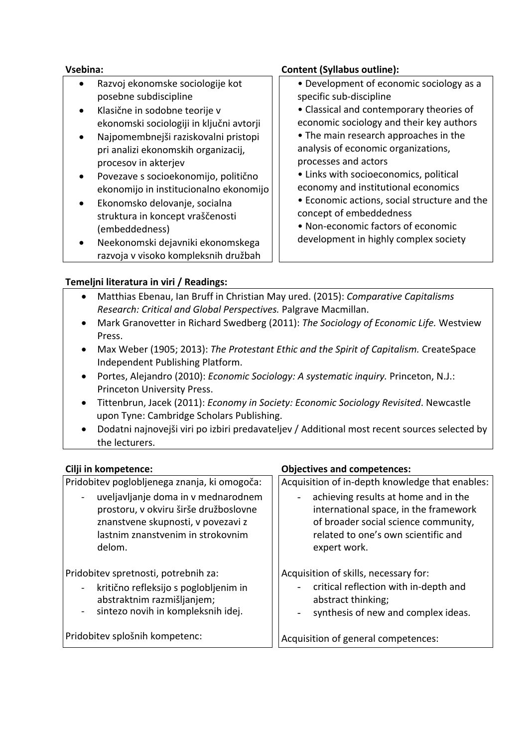- Razvoj ekonomske sociologije kot posebne subdiscipline
- Klasične in sodobne teorije v ekonomski sociologiji in ključni avtorji
- Najpomembnejši raziskovalni pristopi pri analizi ekonomskih organizacij, procesov in akterjev
- Povezave s socioekonomijo, politično ekonomijo in institucionalno ekonomijo
- Ekonomsko delovanje, socialna struktura in koncept vraščenosti (embeddedness)
- Neekonomski dejavniki ekonomskega razvoja v visoko kompleksnih družbah

# **Vsebina: Content (Syllabus outline):**

- Development of economic sociology as a specific sub-discipline
- Classical and contemporary theories of
- economic sociology and their key authors • The main research approaches in the analysis of economic organizations,
- processes and actors
- Links with socioeconomics, political economy and institutional economics
- Economic actions, social structure and the concept of embeddedness
- Non-economic factors of economic development in highly complex society

# **Temeljni literatura in viri / Readings:**

- Matthias Ebenau, Ian Bruff in Christian May ured. (2015): *Comparative Capitalisms Research: Critical and Global Perspectives.* Palgrave Macmillan.
- Mark Granovetter in Richard Swedberg (2011): *The Sociology of Economic Life.* Westview Press.
- Max Weber (1905; 2013): *The Protestant Ethic and the Spirit of Capitalism.* CreateSpace Independent Publishing Platform.
- Portes, Alejandro (2010): *Economic Sociology: A systematic inquiry.* Princeton, N.J.: Princeton University Press.
- Tittenbrun, Jacek (2011): *Economy in Society: Economic Sociology Revisited*. Newcastle upon Tyne: Cambridge Scholars Publishing.
- Dodatni najnovejši viri po izbiri predavateljev / Additional most recent sources selected by the lecturers.

Pridobitev poglobljenega znanja, ki omogoča:

uveljavljanje doma in v mednarodnem prostoru, v okviru širše družboslovne znanstvene skupnosti, v povezavi z lastnim znanstvenim in strokovnim delom.

Pridobitev spretnosti, potrebnih za:

- kritično refleksijo s poglobljenim in abstraktnim razmišljanjem;
- sintezo novih in kompleksnih idej.

Pridobitev splošnih kompetenc:

# **Cilji in kompetence: Objectives and competences:**

Acquisition of in-depth knowledge that enables:

achieving results at home and in the international space, in the framework of broader social science community, related to one's own scientific and expert work.

Acquisition of skills, necessary for:

- critical reflection with in-depth and abstract thinking;
- synthesis of new and complex ideas.

Acquisition of general competences: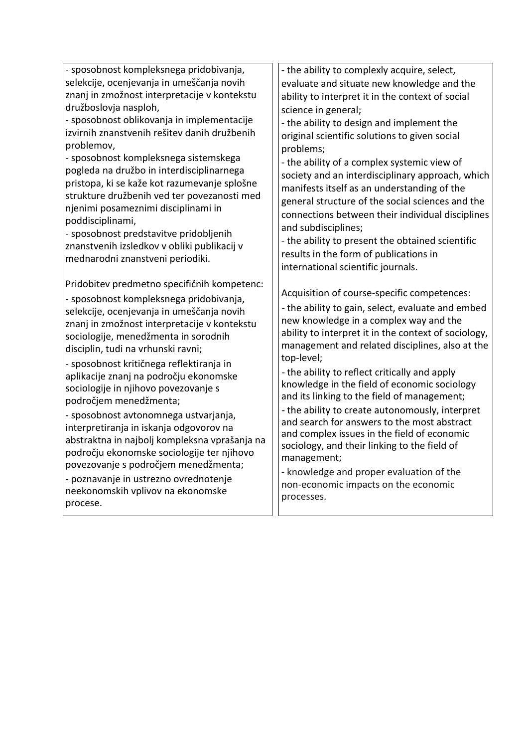- sposobnost kompleksnega pridobivanja, selekcije, ocenjevanja in umeščanja novih znanj in zmožnost interpretacije v kontekstu družboslovja nasploh,

- sposobnost oblikovanja in implementacije izvirnih znanstvenih rešitev danih družbenih problemov,

- sposobnost kompleksnega sistemskega pogleda na družbo in interdisciplinarnega pristopa, ki se kaže kot razumevanje splošne strukture družbenih ved ter povezanosti med njenimi posameznimi disciplinami in poddisciplinami,

- sposobnost predstavitve pridobljenih znanstvenih izsledkov v obliki publikacij v mednarodni znanstveni periodiki.

Pridobitev predmetno specifičnih kompetenc:

- sposobnost kompleksnega pridobivanja, selekcije, ocenjevanja in umeščanja novih znanj in zmožnost interpretacije v kontekstu sociologije, menedžmenta in sorodnih disciplin, tudi na vrhunski ravni;

- sposobnost kritičnega reflektiranja in aplikacije znanj na področju ekonomske sociologije in njihovo povezovanje s področjem menedžmenta;

- sposobnost avtonomnega ustvarjanja, interpretiranja in iskanja odgovorov na abstraktna in najbolj kompleksna vprašanja na področju ekonomske sociologije ter njihovo povezovanje s področjem menedžmenta;

- poznavanje in ustrezno ovrednotenje neekonomskih vplivov na ekonomske procese.

- the ability to complexly acquire, select, evaluate and situate new knowledge and the ability to interpret it in the context of social science in general;

- the ability to design and implement the original scientific solutions to given social problems;

- the ability of a complex systemic view of society and an interdisciplinary approach, which manifests itself as an understanding of the general structure of the social sciences and the connections between their individual disciplines and subdisciplines;

- the ability to present the obtained scientific results in the form of publications in international scientific journals.

Acquisition of course-specific competences:

- the ability to gain, select, evaluate and embed new knowledge in a complex way and the ability to interpret it in the context of sociology, management and related disciplines, also at the top-level;

- the ability to reflect critically and apply knowledge in the field of economic sociology and its linking to the field of management;

- the ability to create autonomously, interpret and search for answers to the most abstract and complex issues in the field of economic sociology, and their linking to the field of management;

- knowledge and proper evaluation of the non-economic impacts on the economic processes.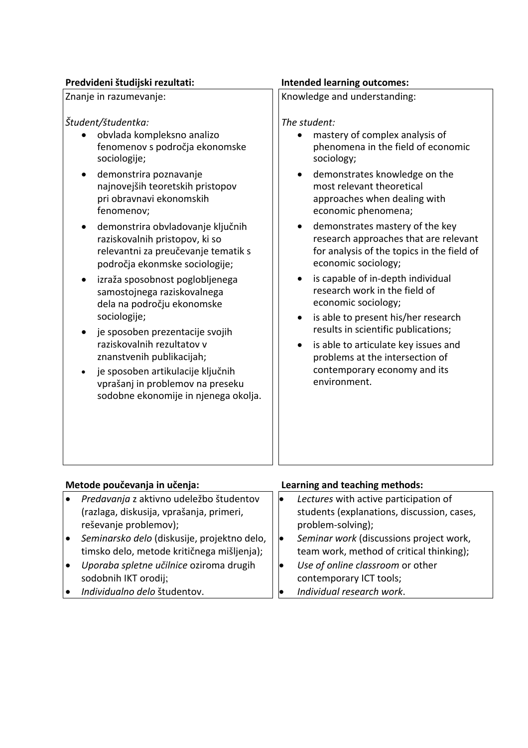#### **Predvideni študijski rezultati: Intended learning outcomes:**

#### Znanje in razumevanje: *Študent/študentka:* • obvlada kompleksno analizo fenomenov s področja ekonomske sociologije; • demonstrira poznavanje najnovejših teoretskih pristopov pri obravnavi ekonomskih fenomenov; • demonstrira obvladovanje ključnih raziskovalnih pristopov, ki so relevantni za preučevanje tematik s področja ekonmske sociologije; • izraža sposobnost poglobljenega samostojnega raziskovalnega dela na področju ekonomske sociologije; • je sposoben prezentacije svojih raziskovalnih rezultatov v znanstvenih publikacijah; • je sposoben artikulacije ključnih vprašanj in problemov na preseku sodobne ekonomije in njenega okolja. Knowledge and understanding: *The student:* • mastery of complex analysis of phenomena in the field of economic sociology; demonstrates knowledge on the most relevant theoretical approaches when dealing with economic phenomena; • demonstrates mastery of the key research approaches that are relevant for analysis of the topics in the field of economic sociology; • is capable of in-depth individual research work in the field of economic sociology; • is able to present his/her research results in scientific publications; is able to articulate key issues and problems at the intersection of contemporary economy and its environment.

| Metode poučevanja in učenja: |                                             |    | Learning and teaching methods:             |  |  |  |
|------------------------------|---------------------------------------------|----|--------------------------------------------|--|--|--|
|                              | Predavanja z aktivno udeležbo študentov     |    | Lectures with active participation of      |  |  |  |
|                              | (razlaga, diskusija, vprašanja, primeri,    |    | students (explanations, discussion, cases, |  |  |  |
|                              | reševanje problemov);                       |    | problem-solving);                          |  |  |  |
|                              | Seminarsko delo (diskusije, projektno delo, | lo | Seminar work (discussions project work,    |  |  |  |
|                              | timsko delo, metode kritičnega mišljenja);  |    | team work, method of critical thinking);   |  |  |  |
|                              | Uporaba spletne učilnice oziroma drugih     |    | Use of online classroom or other           |  |  |  |
|                              | sodobnih IKT orodij;                        |    | contemporary ICT tools;                    |  |  |  |
|                              | Individualno delo študentov.                |    | Individual research work.                  |  |  |  |